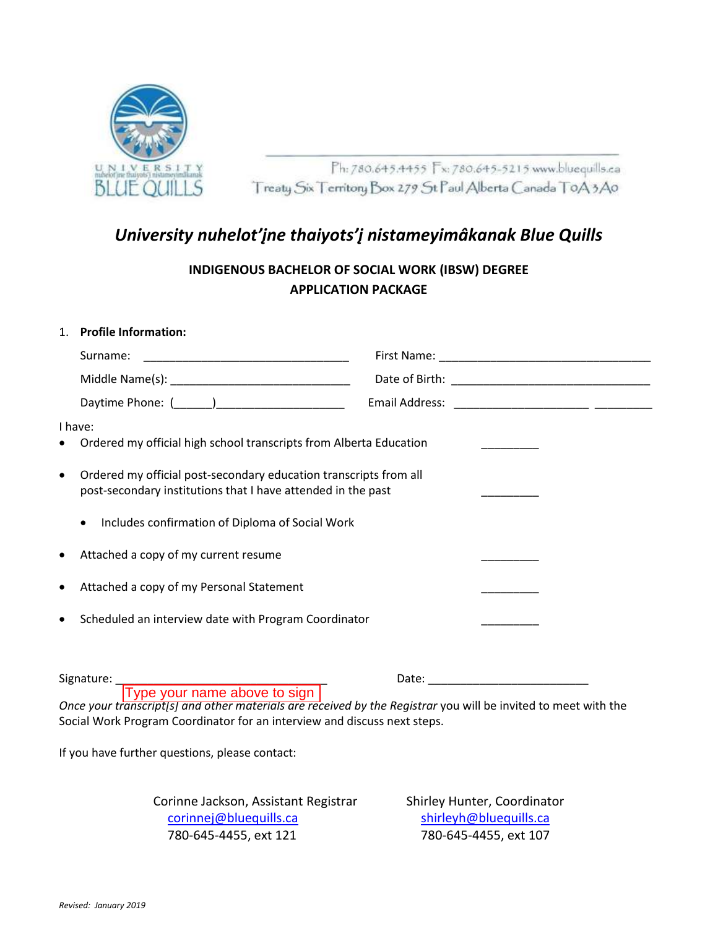

Ph: 780.645.4455 Fx: 780.645-5215 www.bluequills.ca Treaty Six Territory Box 279 St Paul Alberta Canada T0A3A0

# *University nuhelot'įne thaiyots'į nistameyimâkanak Blue Quills*

**INDIGENOUS BACHELOR OF SOCIAL WORK (IBSW) DEGREE APPLICATION PACKAGE**

#### 1. **Profile Information:**

|                                                                                            | Surname:                                                                                                                          |  |  |
|--------------------------------------------------------------------------------------------|-----------------------------------------------------------------------------------------------------------------------------------|--|--|
|                                                                                            |                                                                                                                                   |  |  |
|                                                                                            |                                                                                                                                   |  |  |
| I have:<br>Ordered my official high school transcripts from Alberta Education<br>$\bullet$ |                                                                                                                                   |  |  |
| $\bullet$                                                                                  | Ordered my official post-secondary education transcripts from all<br>post-secondary institutions that I have attended in the past |  |  |
|                                                                                            | Includes confirmation of Diploma of Social Work<br>$\bullet$                                                                      |  |  |
| $\bullet$                                                                                  | Attached a copy of my current resume                                                                                              |  |  |
| $\bullet$                                                                                  | Attached a copy of my Personal Statement                                                                                          |  |  |
| $\bullet$                                                                                  | Scheduled an interview date with Program Coordinator                                                                              |  |  |
|                                                                                            |                                                                                                                                   |  |  |

Signature: \_\_\_\_\_\_\_\_\_\_\_\_\_\_\_\_\_\_\_\_\_\_\_\_\_\_\_\_\_\_\_\_\_ Date: \_\_\_\_\_\_\_\_\_\_\_\_\_\_\_\_\_\_\_\_\_\_\_\_\_

*Once your transcript[s] and other materials are received by the Registrar* you will be invited to meet with the Social Work Program Coordinator for an interview and discuss next steps. Type your name above to sign

If you have further questions, please contact:

Corinne Jackson, Assistant Registrar Shirley Hunter, Coordinator corinnej@bluequills.ca shirleyh@bluequills.ca 780-645-4455, ext 121 780-645-4455, ext 107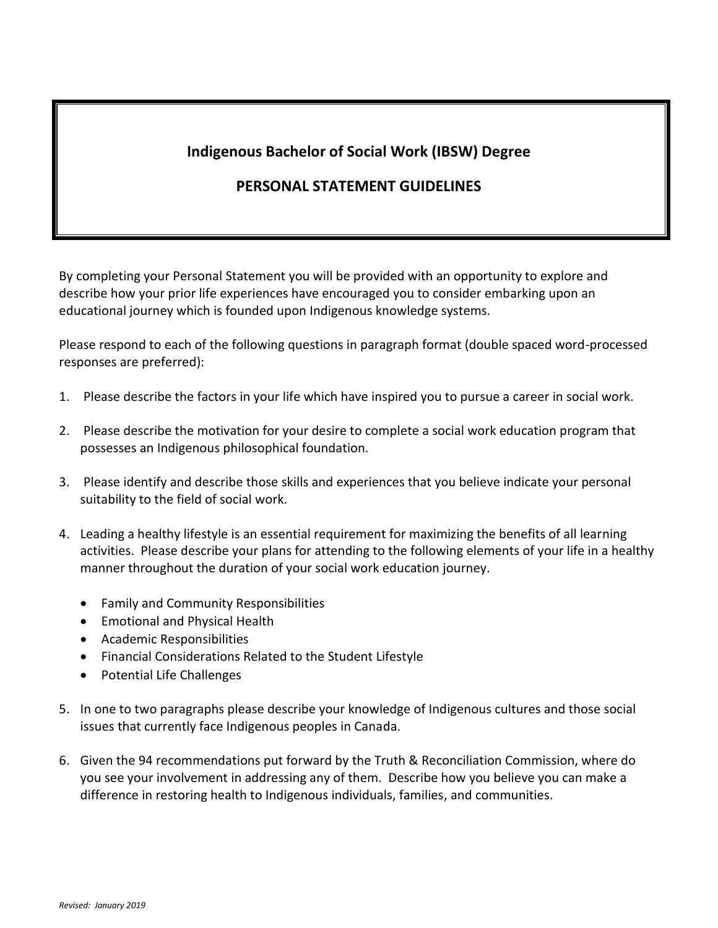### **Indigenous Bachelor of Social Work (IBSW) Degree**

### **PERSONAL STATEMENT GUIDELINES**

By completing your Personal Statement you will be provided with an opportunity to explore and describe how your prior life experiences have encouraged you to consider embarking upon an educational journey which is founded upon Indigenous knowledge systems.

Please respond to each of the following questions in paragraph format (double spaced word-processed responses are preferred):

- 1. Please describe the factors in your life which have inspired you to pursue a career in social work.
- 2. Please describe the motivation for your desire to complete a social work education program that possesses an Indigenous philosophical foundation.
- 3. Please identify and describe those skills and experiences that you believe indicate your personal suitability to the field of social work.
- 4. Leading a healthy lifestyle is an essential requirement for maximizing the benefits of all learning activities. Please describe your plans for attending to the following elements of your life in a healthy manner throughout the duration of your social work education journey.
	- Family and Community Responsibilities
	- Emotional and Physical Health
	- Academic Responsibilities
	- Financial Considerations Related to the Student Lifestyle
	- Potential Life Challenges
- 5. In one to two paragraphs please describe your knowledge of Indigenous cultures and those social issues that currently face Indigenous peoples in Canada.
- 6. Given the 94 recommendations put forward by the Truth & Reconciliation Commission, where do you see your involvement in addressing any of them. Describe how you believe you can make a difference in restoring health to Indigenous individuals, families, and communities.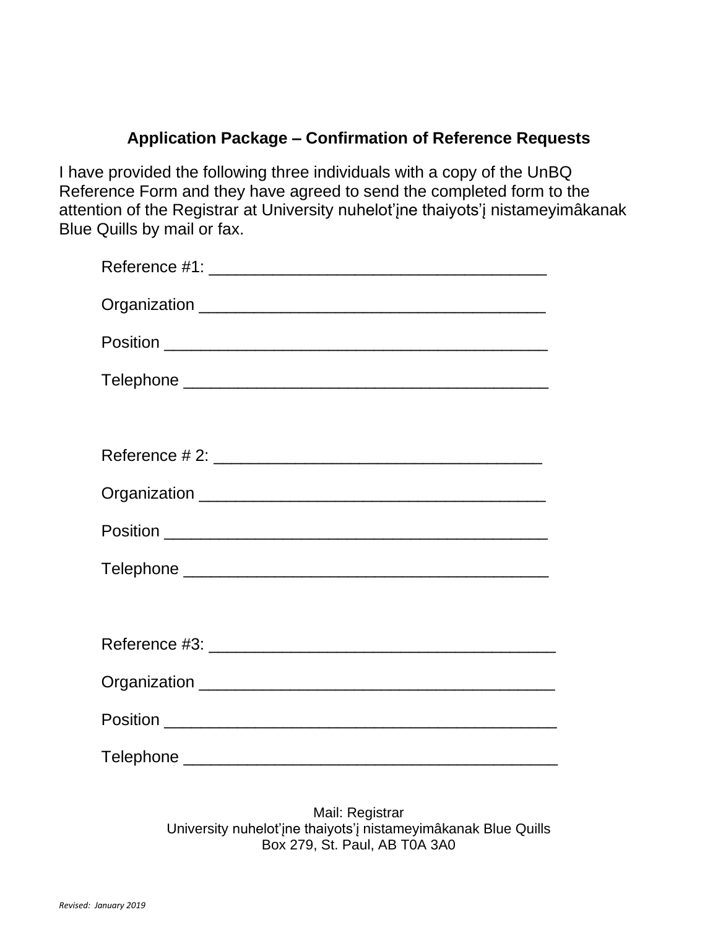### **Application Package – Confirmation of Reference Requests**

I have provided the following three individuals with a copy of the UnBQ Reference Form and they have agreed to send the completed form to the attention of the Registrar at University nuhelot'įne thaiyots'į nistameyimâkanak Blue Quills by mail or fax.

Mail: Registrar University nuhelot'įne thaiyots'į nistameyimâkanak Blue Quills Box 279, St. Paul, AB T0A 3A0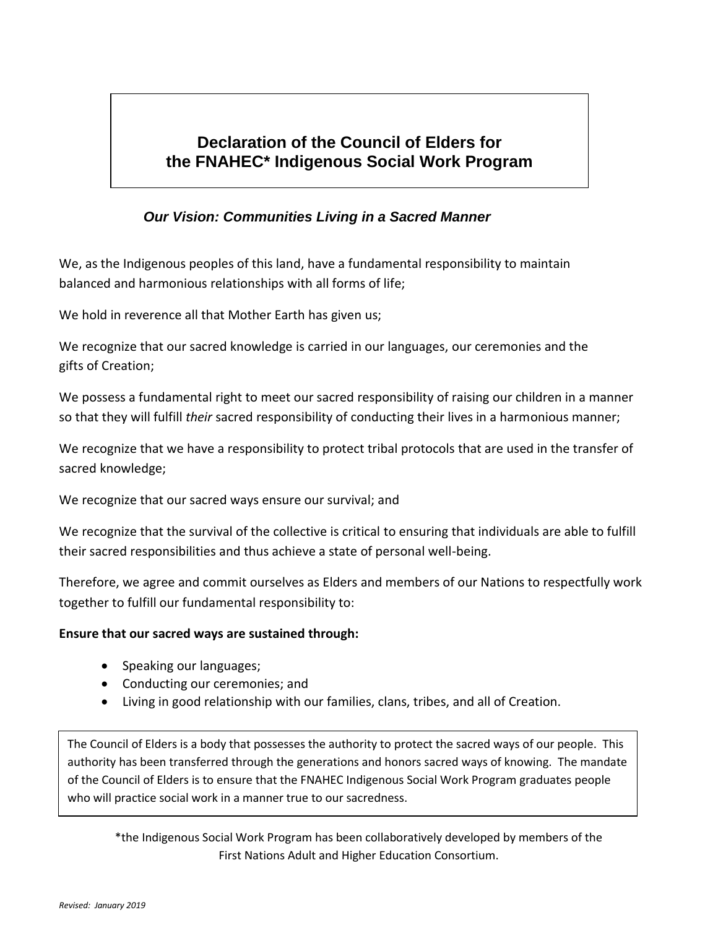## **Declaration of the Council of Elders for the FNAHEC\* Indigenous Social Work Program**

# **Our Vision: Communities Living in a Sacred Manner**

We, as the Indigenous peoples of this land, have a fundamental responsibility to maintain balanced and harmonious relationships with all forms of life;

We hold in reverence all that Mother Earth has given us;

We recognize that our sacred knowledge is carried in our languages, our ceremonies and the gifts of Creation;

We possess a fundamental right to meet our sacred responsibility of raising our children in a manner so that they will fulfill *their* sacred responsibility of conducting their lives in a harmonious manner;

We recognize that we have a responsibility to protect tribal protocols that are used in the transfer of sacred knowledge;

We recognize that our sacred ways ensure our survival; and

We recognize that the survival of the collective is critical to ensuring that individuals are able to fulfill their sacred responsibilities and thus achieve a state of personal well-being.

Therefore, we agree and commit ourselves as Elders and members of our Nations to respectfully work together to fulfill our fundamental responsibility to:

#### **Ensure that our sacred ways are sustained through:**

- Speaking our languages;
- Conducting our ceremonies; and
- Living in good relationship with our families, clans, tribes, and all of Creation.

The Council of Elders is a body that possesses the authority to protect the sacred ways of our people. This authority has been transferred through the generations and honors sacred ways of knowing. The mandate of the Council of Elders is to ensure that the FNAHEC Indigenous Social Work Program graduates people who will practice social work in a manner true to our sacredness.

\*the Indigenous Social Work Program has been collaboratively developed by members of the First Nations Adult and Higher Education Consortium.